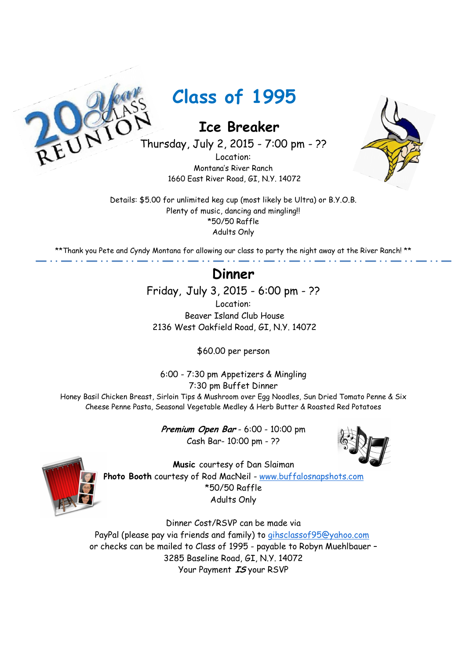

 **Ice Breaker**

Thursday, July 2, 2015 - 7:00 pm - ??

Location: Montana's River Ranch 1660 East River Road, GI, N.Y. 14072



Details: \$5.00 for unlimited keg cup (most likely be Ultra) or B.Y.O.B. Plenty of music, dancing and mingling! \*50/50 Raffle Adults Only

\*\*Thank you Pete and Cyndy Montana for allowing our class to party the night away at the River Ranch! \*\*

## **Dinner**

Friday, July 3, 2015 - 6:00 pm - ??

Location: Beaver Island Club House 2136 West Oakfield Road, GI, N.Y. 14072

\$60.00 per person

6:00 - 7:30 pm Appetizers & Mingling 7:30 pm Buffet Dinner Honey Basil Chicken Breast, Sirloin Tips & Mushroom over Egg Noodles, Sun Dried Tomato Penne & Six Cheese Penne Pasta, Seasonal Vegetable Medley & Herb Butter & Roasted Red Potatoes

> **Premium Open Bar** - 6:00 - 10:00 pm Cash Bar- 10:00 pm - ??





**Music** courtesy of Dan Slaiman **Photo Booth** courtesy of Rod MacNeil - www.buffalosnapshots.com \*50/50 Raffle Adults Only

Dinner Cost/RSVP can be made via PayPal (please pay via friends and family) to gihsclassof95@yahoo.com or checks can be mailed to Class of 1995 - payable to Robyn Muehlbauer – 3285 Baseline Road, GI, N.Y. 14072 Your Payment **IS** your RSVP